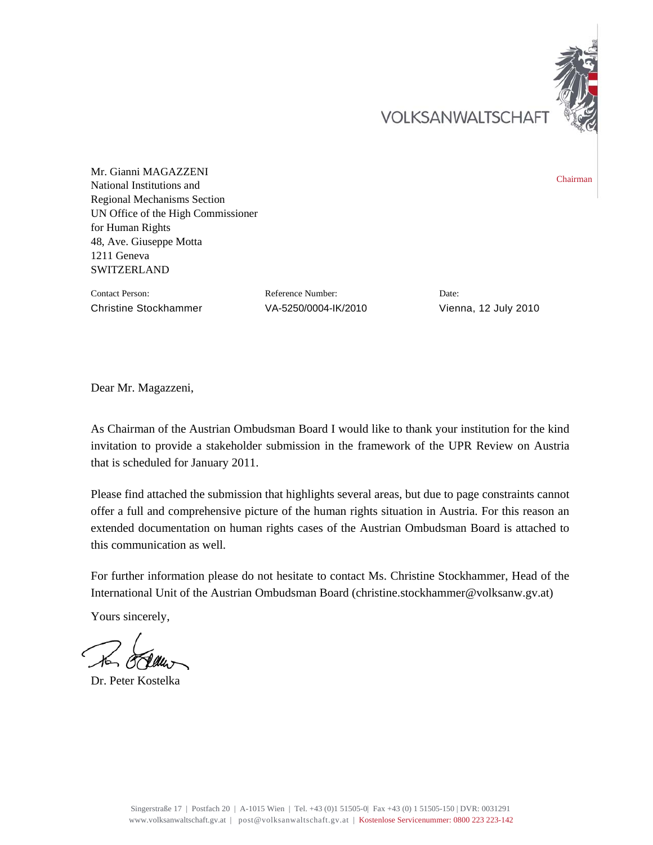VOLKSANWALTSCHAF



Mr. Gianni MAGAZZENI National Institutions and Regional Mechanisms Section UN Office of the High Commissioner for Human Rights 48, Ave. Giuseppe Motta 1211 Geneva **SWITZERLAND** 

Contact Person: Reference Number: Date: Christine Stockhammer VA-5250/0004-IK/2010 Vienna, 12 July 2010

Dear Mr. Magazzeni,

As Chairman of the Austrian Ombudsman Board I would like to thank your institution for the kind invitation to provide a stakeholder submission in the framework of the UPR Review on Austria that is scheduled for January 2011.

Please find attached the submission that highlights several areas, but due to page constraints cannot offer a full and comprehensive picture of the human rights situation in Austria. For this reason an extended documentation on human rights cases of the Austrian Ombudsman Board is attached to this communication as well.

For further information please do not hesitate to contact Ms. Christine Stockhammer, Head of the International Unit of the Austrian Ombudsman Board (christine.stockhammer@volksanw.gv.at)

Yours sincerely,

Dr. Peter Kostelka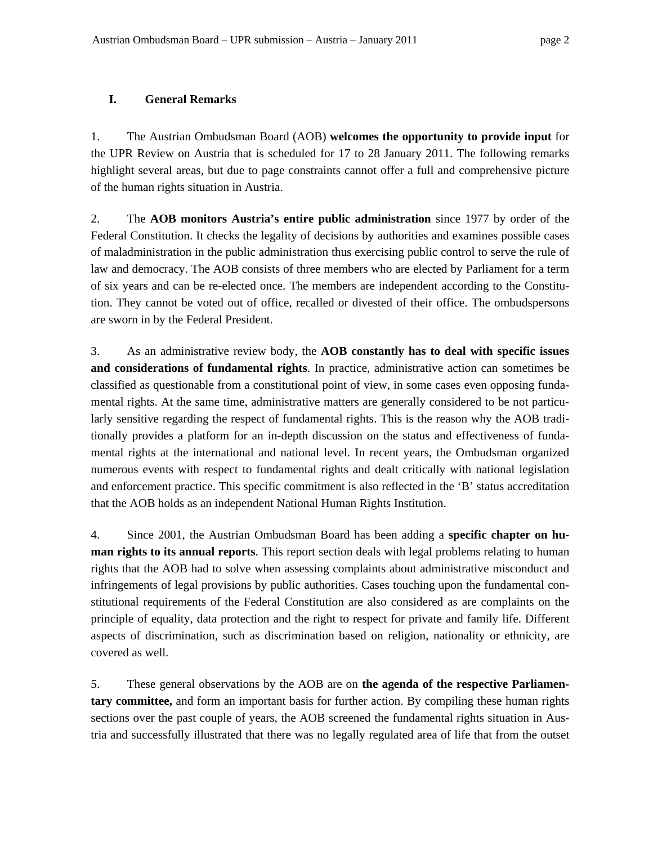## **I. General Remarks**

1. The Austrian Ombudsman Board (AOB) **welcomes the opportunity to provide input** for the UPR Review on Austria that is scheduled for 17 to 28 January 2011. The following remarks highlight several areas, but due to page constraints cannot offer a full and comprehensive picture of the human rights situation in Austria.

2. The **AOB monitors Austria's entire public administration** since 1977 by order of the Federal Constitution. It checks the legality of decisions by authorities and examines possible cases of maladministration in the public administration thus exercising public control to serve the rule of law and democracy. The AOB consists of three members who are elected by Parliament for a term of six years and can be re-elected once. The members are independent according to the Constitution. They cannot be voted out of office, recalled or divested of their office. The ombudspersons are sworn in by the Federal President.

3. As an administrative review body, the **AOB constantly has to deal with specific issues and considerations of fundamental rights**. In practice, administrative action can sometimes be classified as questionable from a constitutional point of view, in some cases even opposing fundamental rights. At the same time, administrative matters are generally considered to be not particularly sensitive regarding the respect of fundamental rights. This is the reason why the AOB traditionally provides a platform for an in-depth discussion on the status and effectiveness of fundamental rights at the international and national level. In recent years, the Ombudsman organized numerous events with respect to fundamental rights and dealt critically with national legislation and enforcement practice. This specific commitment is also reflected in the 'B' status accreditation that the AOB holds as an independent National Human Rights Institution.

4. Since 2001, the Austrian Ombudsman Board has been adding a **specific chapter on human rights to its annual reports**. This report section deals with legal problems relating to human rights that the AOB had to solve when assessing complaints about administrative misconduct and infringements of legal provisions by public authorities. Cases touching upon the fundamental constitutional requirements of the Federal Constitution are also considered as are complaints on the principle of equality, data protection and the right to respect for private and family life. Different aspects of discrimination, such as discrimination based on religion, nationality or ethnicity, are covered as well.

5. These general observations by the AOB are on **the agenda of the respective Parliamentary committee,** and form an important basis for further action. By compiling these human rights sections over the past couple of years, the AOB screened the fundamental rights situation in Austria and successfully illustrated that there was no legally regulated area of life that from the outset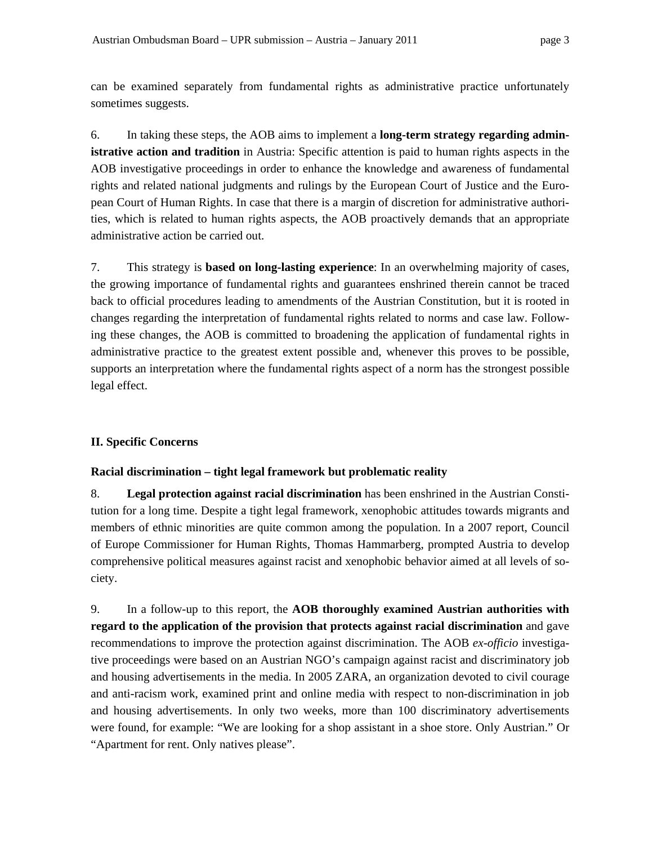can be examined separately from fundamental rights as administrative practice unfortunately sometimes suggests.

6. In taking these steps, the AOB aims to implement a **long-term strategy regarding administrative action and tradition** in Austria: Specific attention is paid to human rights aspects in the AOB investigative proceedings in order to enhance the knowledge and awareness of fundamental rights and related national judgments and rulings by the European Court of Justice and the European Court of Human Rights. In case that there is a margin of discretion for administrative authorities, which is related to human rights aspects, the AOB proactively demands that an appropriate administrative action be carried out.

7. This strategy is **based on long-lasting experience**: In an overwhelming majority of cases, the growing importance of fundamental rights and guarantees enshrined therein cannot be traced back to official procedures leading to amendments of the Austrian Constitution, but it is rooted in changes regarding the interpretation of fundamental rights related to norms and case law. Following these changes, the AOB is committed to broadening the application of fundamental rights in administrative practice to the greatest extent possible and, whenever this proves to be possible, supports an interpretation where the fundamental rights aspect of a norm has the strongest possible legal effect.

## **II. Specific Concerns**

## **Racial discrimination – tight legal framework but problematic reality**

8. **Legal protection against racial discrimination** has been enshrined in the Austrian Constitution for a long time. Despite a tight legal framework, xenophobic attitudes towards migrants and members of ethnic minorities are quite common among the population. In a 2007 report, Council of Europe Commissioner for Human Rights, Thomas Hammarberg, prompted Austria to develop comprehensive political measures against racist and xenophobic behavior aimed at all levels of society.

9. In a follow-up to this report, the **AOB thoroughly examined Austrian authorities with regard to the application of the provision that protects against racial discrimination** and gave recommendations to improve the protection against discrimination. The AOB *ex-officio* investigative proceedings were based on an Austrian NGO's campaign against racist and discriminatory job and housing advertisements in the media. In 2005 ZARA, an organization devoted to civil courage and anti-racism work, examined print and online media with respect to non-discrimination in job and housing advertisements. In only two weeks, more than 100 discriminatory advertisements were found, for example: "We are looking for a shop assistant in a shoe store. Only Austrian." Or "Apartment for rent. Only natives please".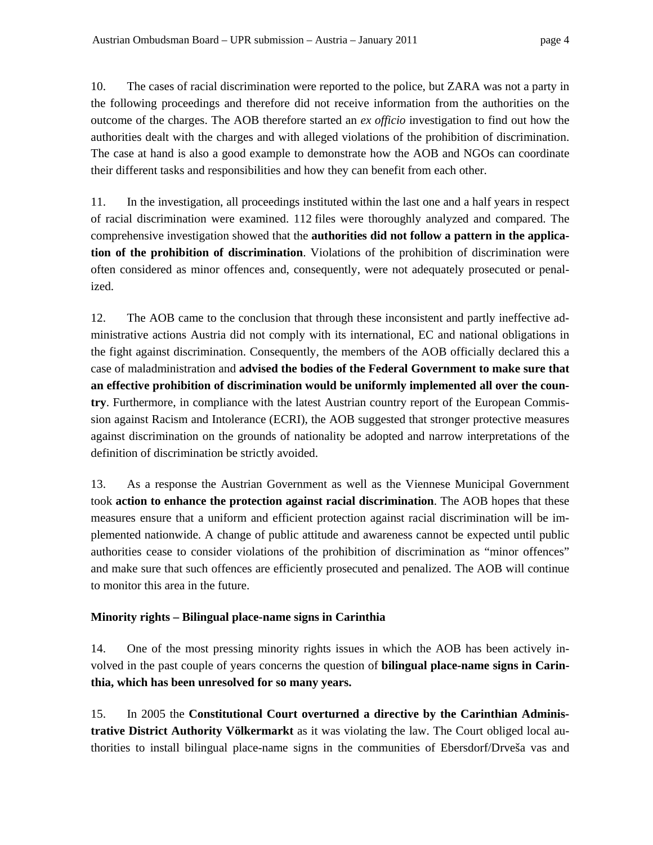10. The cases of racial discrimination were reported to the police, but ZARA was not a party in the following proceedings and therefore did not receive information from the authorities on the outcome of the charges. The AOB therefore started an *ex officio* investigation to find out how the authorities dealt with the charges and with alleged violations of the prohibition of discrimination. The case at hand is also a good example to demonstrate how the AOB and NGOs can coordinate their different tasks and responsibilities and how they can benefit from each other.

11. In the investigation, all proceedings instituted within the last one and a half years in respect of racial discrimination were examined. 112 files were thoroughly analyzed and compared. The comprehensive investigation showed that the **authorities did not follow a pattern in the application of the prohibition of discrimination**. Violations of the prohibition of discrimination were often considered as minor offences and, consequently, were not adequately prosecuted or penalized.

12. The AOB came to the conclusion that through these inconsistent and partly ineffective administrative actions Austria did not comply with its international, EC and national obligations in the fight against discrimination. Consequently, the members of the AOB officially declared this a case of maladministration and **advised the bodies of the Federal Government to make sure that an effective prohibition of discrimination would be uniformly implemented all over the country**. Furthermore, in compliance with the latest Austrian country report of the European Commission against Racism and Intolerance (ECRI), the AOB suggested that stronger protective measures against discrimination on the grounds of nationality be adopted and narrow interpretations of the definition of discrimination be strictly avoided.

13. As a response the Austrian Government as well as the Viennese Municipal Government took **action to enhance the protection against racial discrimination**. The AOB hopes that these measures ensure that a uniform and efficient protection against racial discrimination will be implemented nationwide. A change of public attitude and awareness cannot be expected until public authorities cease to consider violations of the prohibition of discrimination as "minor offences" and make sure that such offences are efficiently prosecuted and penalized. The AOB will continue to monitor this area in the future.

# **Minority rights – Bilingual place-name signs in Carinthia**

14. One of the most pressing minority rights issues in which the AOB has been actively involved in the past couple of years concerns the question of **bilingual place-name signs in Carinthia, which has been unresolved for so many years.**

15. In 2005 the **Constitutional Court overturned a directive by the Carinthian Administrative District Authority Völkermarkt** as it was violating the law. The Court obliged local authorities to install bilingual place-name signs in the communities of Ebersdorf/Drveša vas and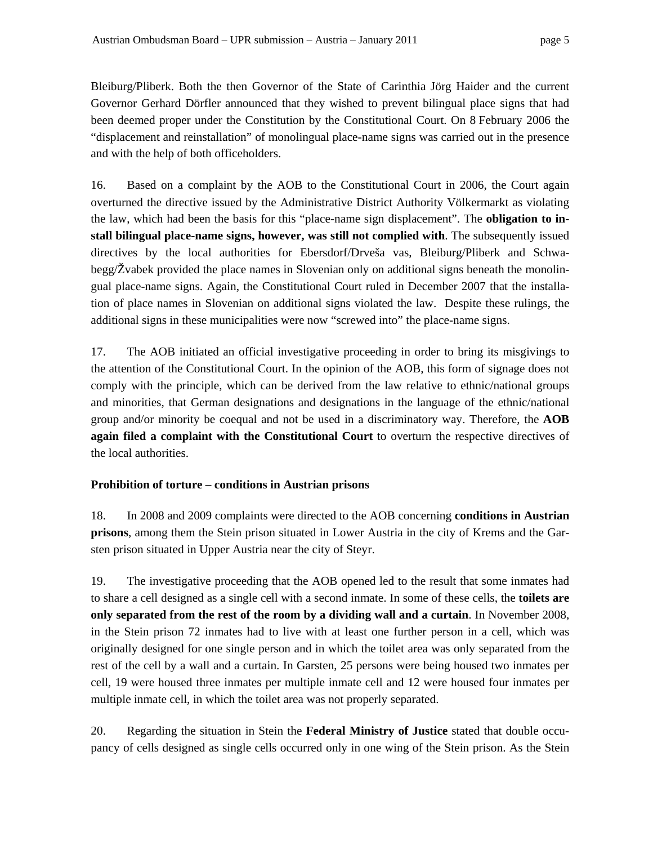Bleiburg/Pliberk. Both the then Governor of the State of Carinthia Jörg Haider and the current Governor Gerhard Dörfler announced that they wished to prevent bilingual place signs that had been deemed proper under the Constitution by the Constitutional Court. On 8 February 2006 the "displacement and reinstallation" of monolingual place-name signs was carried out in the presence and with the help of both officeholders.

16. Based on a complaint by the AOB to the Constitutional Court in 2006, the Court again overturned the directive issued by the Administrative District Authority Völkermarkt as violating the law, which had been the basis for this "place-name sign displacement". The **obligation to install bilingual place-name signs, however, was still not complied with**. The subsequently issued directives by the local authorities for Ebersdorf/Drveša vas, Bleiburg/Pliberk and Schwabegg/Žvabek provided the place names in Slovenian only on additional signs beneath the monolingual place-name signs. Again, the Constitutional Court ruled in December 2007 that the installation of place names in Slovenian on additional signs violated the law. Despite these rulings, the additional signs in these municipalities were now "screwed into" the place-name signs.

17. The AOB initiated an official investigative proceeding in order to bring its misgivings to the attention of the Constitutional Court. In the opinion of the AOB, this form of signage does not comply with the principle, which can be derived from the law relative to ethnic/national groups and minorities, that German designations and designations in the language of the ethnic/national group and/or minority be coequal and not be used in a discriminatory way. Therefore, the **AOB again filed a complaint with the Constitutional Court** to overturn the respective directives of the local authorities.

## **Prohibition of torture – conditions in Austrian prisons**

18. In 2008 and 2009 complaints were directed to the AOB concerning **conditions in Austrian prisons**, among them the Stein prison situated in Lower Austria in the city of Krems and the Garsten prison situated in Upper Austria near the city of Steyr.

19. The investigative proceeding that the AOB opened led to the result that some inmates had to share a cell designed as a single cell with a second inmate. In some of these cells, the **toilets are only separated from the rest of the room by a dividing wall and a curtain**. In November 2008, in the Stein prison 72 inmates had to live with at least one further person in a cell, which was originally designed for one single person and in which the toilet area was only separated from the rest of the cell by a wall and a curtain. In Garsten, 25 persons were being housed two inmates per cell, 19 were housed three inmates per multiple inmate cell and 12 were housed four inmates per multiple inmate cell, in which the toilet area was not properly separated.

20. Regarding the situation in Stein the **Federal Ministry of Justice** stated that double occupancy of cells designed as single cells occurred only in one wing of the Stein prison. As the Stein